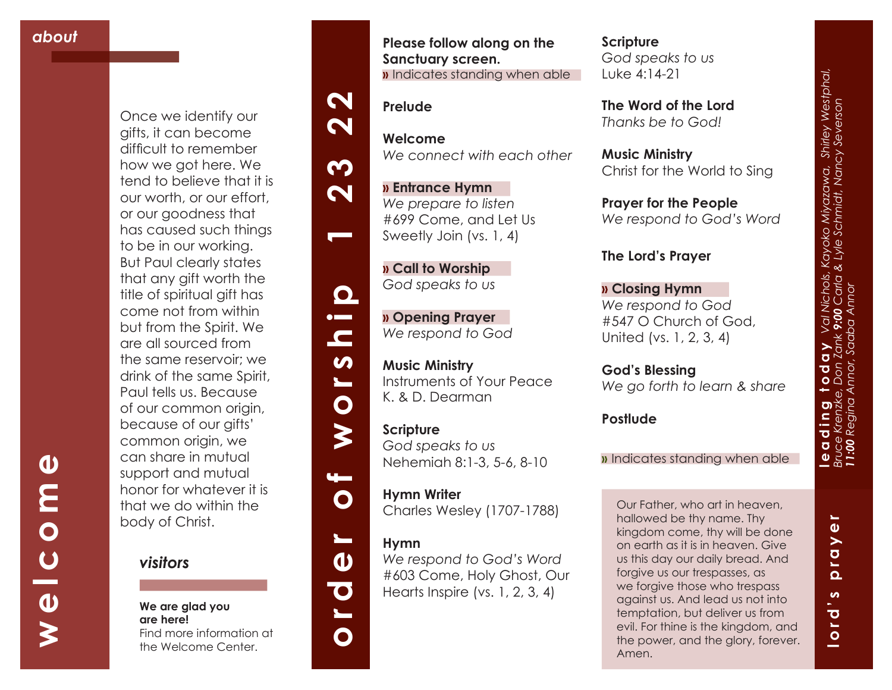**welcome**

 $\frac{c}{\theta}$ 

 $\geq$ 

 $\boldsymbol{\omega}$ 

**MO** 

Once we identify our gifts, it can become difficult to remember how we got here. We tend to believe that it is our worth, or our effort, or our goodness that has caused such things to be in our working. But Paul clearly states that any gift worth the title of spiritual gift has come not from within but from the Spirit. We are all sourced from the same reservoir; we drink of the same Spirit, Paul tells us. Because of our common origin, because of our gifts' common origin, we can share in mutual support and mutual honor for whatever it is that we do within the body of Christ.



#### **We are glad you are here!** Find more information at

the Welcome Center.

#### **Please follow along on the Sanctuary screen. »** Indicates standing when able

*We connect with each other*



**Prelude**

**Welcome**

# **order of worship 1 23 22** m  $\boldsymbol{\mathsf{N}}$



 $\blacksquare$ 

 $\boldsymbol{\omega}$ 

 $\blacksquare$ 

 $\mathbf O$ 

 $\blacktriangleright$ 

 $\mathbf O$ 

 $\overline{\phantom{0}}$ 

 $\boldsymbol{\omega}$ 

 $\overline{\textbf{C}}$ 

 $\bullet$ 

**» Call to Worship**  *God speaks to us*

**» Entrance Hymn**  *We prepare to listen* #699 Come, and Let Us Sweetly Join (vs. 1, 4)

**» Opening Prayer**  *We respond to God*

**Music Ministry**  Instruments of Your Peace K. & D. Dearman

**Scripture** *God speaks to us* Nehemiah 8:1-3, 5-6, 8-10

**Hymn Writer**  Charles Wesley (1707-1788)

# **Hymn**

*We respond to God's Word*  #603 Come, Holy Ghost, Our Hearts Inspire (vs. 1, 2, 3, 4)

### **Scripture** *God speaks to us* Luke 4:14-21

**The Word of the Lord**  *Thanks be to God!*

**Music Ministry**  Christ for the World to Sing

**Prayer for the People** *We respond to God's Word*

# **The Lord's Prayer**

**» Closing Hymn** *We respond to God* #547 O Church of God, United (vs. 1, 2, 3, 4)

**God's Blessing** *We go forth to learn & share*

**Postlude**

#### **»** Indicates standing when able

Our Father, who art in heaven, hallowed be thy name. Thy kingdom come, thy will be done on earth as it is in heaven. Give us this day our daily bread. And forgive us our trespasses, as we forgive those who trespass against us. And lead us not into temptation, but deliver us from evil. For thine is the kingdom, and the power, and the glory, forever. Amen.

١L **lord's prayer**  $\bullet$ ray  $\overline{\mathbf{a}}$ **in**  $\overline{\mathbf{o}}$  $\overline{a}$ and the contract of the contract of the contract of the contract of the contract of the contract of the contract of the contract of the contract of the contract of the contract of the contract of the contract of the contra